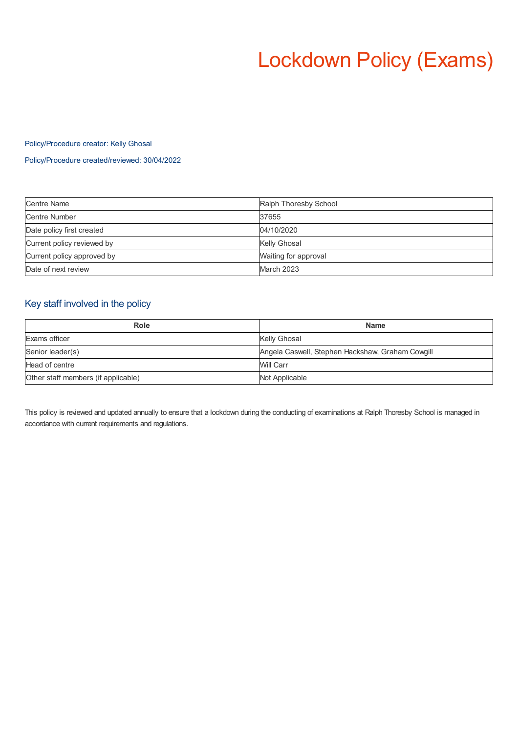# Lockdown Policy (Exams)

### Policy/Procedure creator: Kelly Ghosal

Policy/Procedure created/reviewed: 30/04/2022

| <b>Centre Name</b>         | Ralph Thoresby School |
|----------------------------|-----------------------|
| Centre Number              | 37655                 |
| Date policy first created  | 04/10/2020            |
| Current policy reviewed by | Kelly Ghosal          |
| Current policy approved by | Waiting for approval  |
| Date of next review        | March 2023            |

## Key staff involved in the policy

| Role                                | <b>Name</b>                                      |
|-------------------------------------|--------------------------------------------------|
| Exams officer                       | Kelly Ghosal                                     |
| Senior leader(s)                    | Angela Caswell, Stephen Hackshaw, Graham Cowgill |
| Head of centre                      | Will Carr                                        |
| Other staff members (if applicable) | Not Applicable                                   |

This policy is reviewed and updated annually to ensure that a lockdown during the conducting of examinations at Ralph Thoresby School is managed in accordance with current requirements and regulations.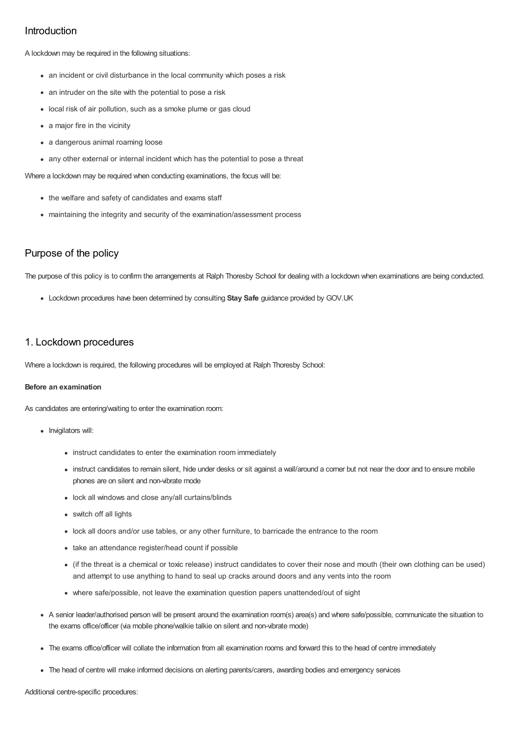### Introduction

A lockdown may be required in the following situations:

- an incident or civil disturbance in the local community which poses a risk
- an intruder on the site with the potential to pose a risk
- local risk of air pollution, such as a smoke plume or gas cloud
- a major fire in the vicinity
- a dangerous animal roaming loose
- any other external or internal incident which has the potential to pose a threat

Where a lockdown may be required when conducting examinations, the focus will be:

- the welfare and safety of candidates and exams staff
- maintaining the integrity and security of the examination/assessment process

### Purpose of the policy

The purpose of this policy is to confirm the arrangements at Ralph Thoresby School for dealing with a lockdown when examinations are being conducted.

Lockdown procedures have been determined by consulting **Stay Safe** guidance provided by GOV.UK

### 1. Lockdown procedures

Where a lockdown is required, the following procedures will be employed at Ralph Thoresby School:

### **Before an examination**

As candidates are entering/waiting to enter the examination room:

- Invigilators will:
	- instruct candidates to enter the examination room immediately
	- instruct candidates to remain silent, hide under desks or sit against a wall/around a comer but not near the door and to ensure mobile phones are on silent and non-vibrate mode
	- lock all windows and close any/all curtains/blinds
	- switch off all lights
	- lock all doors and/or use tables, or any other furniture, to barricade the entrance to the room
	- take an attendance register/head count if possible
	- (if the threat is a chemical or toxic release) instruct candidates to cover their nose and mouth (their own clothing can be used) and attempt to use anything to hand to seal up cracks around doors and any vents into the room
	- where safe/possible, not leave the examination question papers unattended/out of sight
- A senior leader/authorised person will be present around the examination room(s) area(s) and where safe/possible, communicate the situation to the exams office/officer (via mobile phone/walkie talkie on silent and non-vibrate mode)
- The exams office/officer will collate the information from all examination rooms and forward this to the head of centre immediately
- The head of centre will make informed decisions on alerting parents/carers, awarding bodies and emergency services

Additional centre-specific procedures: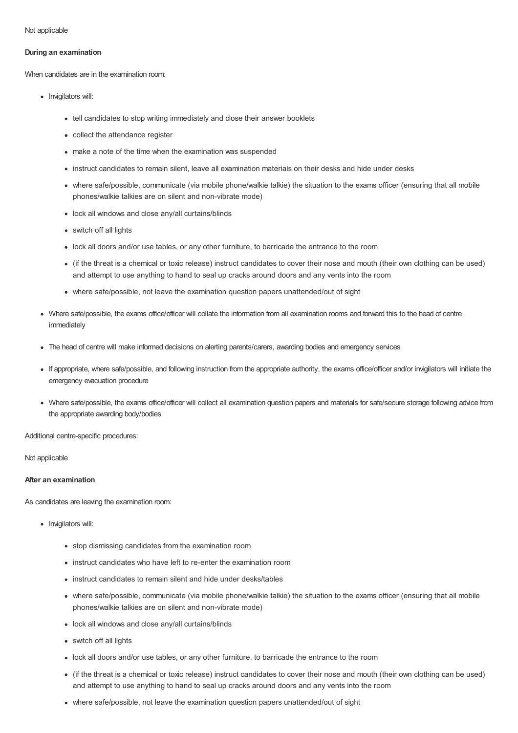Not applicable

### **During an examination**

When candidates are in the examination room:

- Invigilators will:
	- tell candidates to stop writing immediately and close their answer booklets
	- collect the attendance register
	- make a note of the time when the examination was suspended
	- instruct candidates to remain silent, leave all examination materials on their desks and hide under desks
	- where safe/possible, communicate (via mobile phone/walkie talkie) the situation to the exams officer (ensuring that all mobile phones/walkie talkies are on silent and non-vibrate mode)
	- lock all windows and close any/all curtains/blinds
	- switch off all lights
	- lock all doors and/or use tables, or any other furniture, to barricade the entrance to the room
	- (if the threat is a chemical or toxic release) instruct candidates to cover their nose and mouth (their own clothing can be used) and attempt to use anything to hand to seal up cracks around doors and any vents into the room
	- where safe/possible, not leave the examination question papers unattended/out of sight
- Where safe/possible, the exams office/officer will collate the information from all examination rooms and forward this to the head of centre immediately
- The head of centre will make informed decisions on alerting parents/carers, awarding bodies and emergency services
- If appropriate, where safe/possible, and following instruction from the appropriate authority, the exams office/officer and/or invigilators will initiate the emergency evacuation procedure
- Where safe/possible, the exams office/officer will collect all examination question papers and materials for safe/secure storage following advice from the appropriate awarding body/bodies

Additional centre-specific procedures:

Not applicable

### **After an examination**

As candidates are leaving the examination room:

- Invigilators will:
	- stop dismissing candidates from the examination room
	- instruct candidates who have left to re-enter the examination room
	- instruct candidates to remain silent and hide under desks/tables
	- where safe/possible, communicate (via mobile phone/walkie talkie) the situation to the exams officer (ensuring that all mobile phones/walkie talkies are on silent and non-vibrate mode)
	- lock all windows and close any/all curtains/blinds
	- switch off all lights
	- lock all doors and/or use tables, or any other furniture, to barricade the entrance to the room
	- (if the threat is a chemical or toxic release) instruct candidates to cover their nose and mouth (their own clothing can be used) and attempt to use anything to hand to seal up cracks around doors and any vents into the room
	- where safe/possible, not leave the examination question papers unattended/out of sight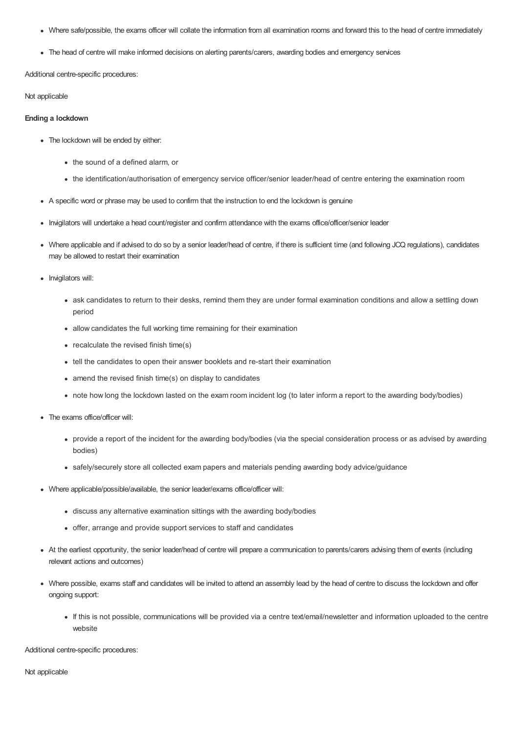- Where safe/possible, the exams officer will collate the information from all examination rooms and forward this to the head of centre immediately
- The head of centre will make informed decisions on alerting parents/carers, awarding bodies and emergency services

Additional centre-specific procedures:

Not applicable

### **Ending a lockdown**

- The lockdown will be ended by either:
	- the sound of a defined alarm, or
	- the identification/authorisation of emergency service officer/senior leader/head of centre entering the examination room
- A specific word or phrase may be used to confirm that the instruction to end the lockdown is genuine
- Invigilators will undertake a head count/register and confirm attendance with the exams office/officer/senior leader
- Where applicable and if advised to do so by a senior leader/head of centre, if there is sufficient time (and following JCQ regulations), candidates may be allowed to restart their examination
- Invigilators will:
	- ask candidates to return to their desks, remind them they are under formal examination conditions and allow a settling down period
	- allow candidates the full working time remaining for their examination
	- recalculate the revised finish time(s)
	- tell the candidates to open their answer booklets and re-start their examination
	- amend the revised finish time(s) on display to candidates
	- note how long the lockdown lasted on the exam room incident log (to later inform a report to the awarding body/bodies)
- The exams office/officer will:
	- provide a report of the incident for the awarding body/bodies (via the special consideration process or as advised by awarding bodies)
	- safely/securely store all collected exam papers and materials pending awarding body advice/guidance
- Where applicable/possible/available, the senior leader/exams office/officer will:
	- discuss any alternative examination sittings with the awarding body/bodies
	- offer, arrange and provide support services to staff and candidates
- At the earliest opportunity, the senior leader/head of centre will prepare a communication to parents/carers advising them of events (including relevant actions and outcomes)
- Where possible, exams staff and candidates will be invited to attend an assembly lead by the head of centre to discuss the lockdown and offer ongoing support:
	- If this is not possible, communications will be provided via a centre text/email/newsletter and information uploaded to the centre website

Additional centre-specific procedures:

Not applicable